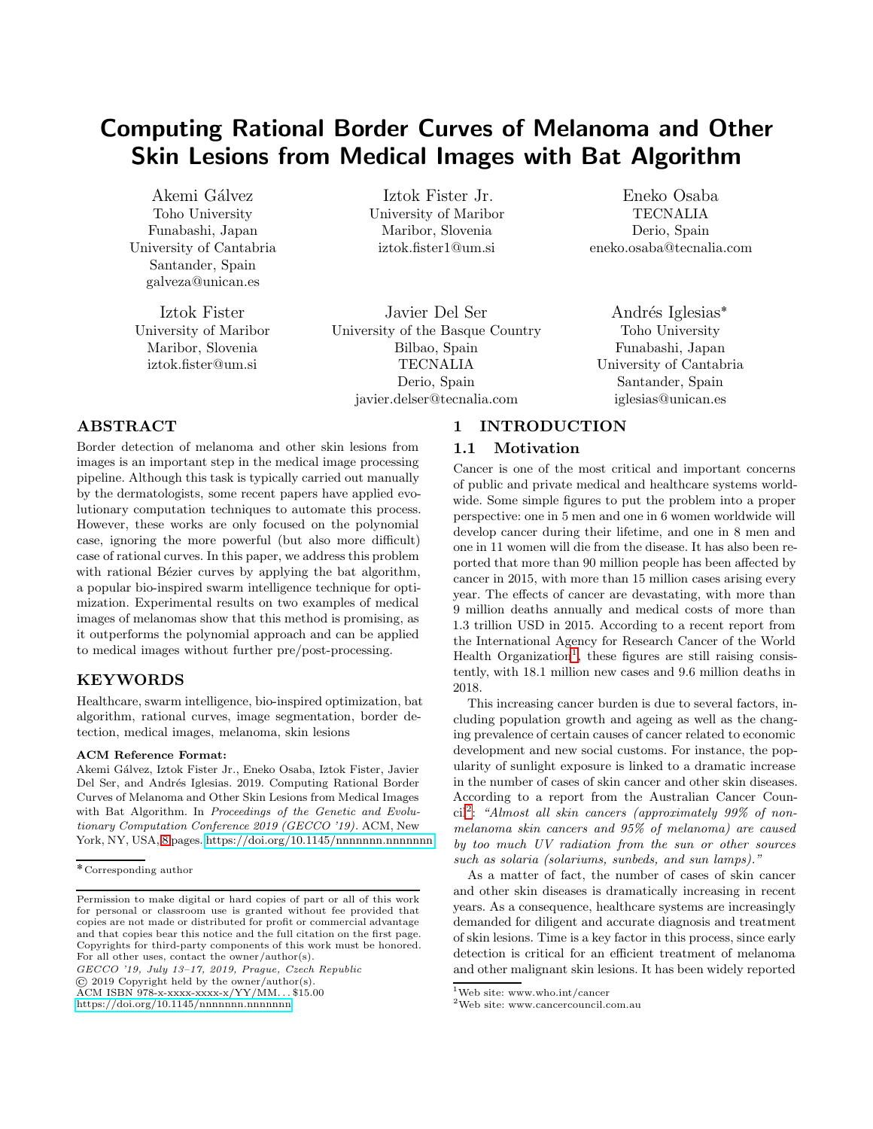# Computing Rational Border Curves of Melanoma and Other Skin Lesions from Medical Images with Bat Algorithm

Akemi Gálvez Toho University Funabashi, Japan University of Cantabria Santander, Spain galveza@unican.es

Iztok Fister University of Maribor Maribor, Slovenia iztok.fister@um.si

Iztok Fister Jr. University of Maribor Maribor, Slovenia iztok.fister1@um.si

Javier Del Ser University of the Basque Country Bilbao, Spain TECNALIA Derio, Spain javier.delser@tecnalia.com

Eneko Osaba TECNALIA Derio, Spain eneko.osaba@tecnalia.com

Andrés Iglesias\* Toho University Funabashi, Japan University of Cantabria Santander, Spain iglesias@unican.es

## ABSTRACT

Border detection of melanoma and other skin lesions from images is an important step in the medical image processing pipeline. Although this task is typically carried out manually by the dermatologists, some recent papers have applied evolutionary computation techniques to automate this process. However, these works are only focused on the polynomial case, ignoring the more powerful (but also more difficult) case of rational curves. In this paper, we address this problem with rational Bézier curves by applying the bat algorithm, a popular bio-inspired swarm intelligence technique for optimization. Experimental results on two examples of medical images of melanomas show that this method is promising, as it outperforms the polynomial approach and can be applied to medical images without further pre/post-processing.

## **KEYWORDS**

Healthcare, swarm intelligence, bio-inspired optimization, bat algorithm, rational curves, image segmentation, border detection, medical images, melanoma, skin lesions

#### ACM Reference Format:

Akemi G´alvez, Iztok Fister Jr., Eneko Osaba, Iztok Fister, Javier Del Ser, and Andrés Iglesias. 2019. Computing Rational Border Curves of Melanoma and Other Skin Lesions from Medical Images with Bat Algorithm. In Proceedings of the Genetic and Evolutionary Computation Conference 2019 (GECCO '19). ACM, New York, NY, USA, [8](#page-7-0) pages.<https://doi.org/10.1145/nnnnnnn.nnnnnnn>

*GECCO '19, July 13–17, 2019, Prague, Czech Republic*

© 2019 Copyright held by the owner/author(s).

ACM ISBN 978-x-xxxx-xxxx-x/YY/MM. . . \$15.00

<https://doi.org/10.1145/nnnnnnn.nnnnnnn>

## 1 INTRODUCTION

#### 1.1 Motivation

Cancer is one of the most critical and important concerns of public and private medical and healthcare systems worldwide. Some simple figures to put the problem into a proper perspective: one in 5 men and one in 6 women worldwide will develop cancer during their lifetime, and one in 8 men and one in 11 women will die from the disease. It has also been reported that more than 90 million people has been affected by cancer in 2015, with more than 15 million cases arising every year. The effects of cancer are devastating, with more than 9 million deaths annually and medical costs of more than 1.3 trillion USD in 2015. According to a recent report from the International Agency for Research Cancer of the World Health Organization<sup>[1](#page-0-0)</sup>, these figures are still raising consistently, with 18.1 million new cases and 9.6 million deaths in 2018.

This increasing cancer burden is due to several factors, including population growth and ageing as well as the changing prevalence of certain causes of cancer related to economic development and new social customs. For instance, the popularity of sunlight exposure is linked to a dramatic increase in the number of cases of skin cancer and other skin diseases. According to a report from the Australian Cancer Coun- $\text{ceil}^2$  $\text{ceil}^2$ : "Almost all skin cancers (approximately 99% of nonmelanoma skin cancers and 95% of melanoma) are caused by too much UV radiation from the sun or other sources such as solaria (solariums, sunbeds, and sun lamps)."

As a matter of fact, the number of cases of skin cancer and other skin diseases is dramatically increasing in recent years. As a consequence, healthcare systems are increasingly demanded for diligent and accurate diagnosis and treatment of skin lesions. Time is a key factor in this process, since early detection is critical for an efficient treatment of melanoma and other malignant skin lesions. It has been widely reported

Corresponding author

Permission to make digital or hard copies of part or all of this work for personal or classroom use is granted without fee provided that copies are not made or distributed for profit or commercial advantage and that copies bear this notice and the full citation on the first page. Copyrights for third-party components of this work must be honored. For all other uses, contact the owner/author(s).

 $\rm ^1Web$  site: www.who.int/cancer

<span id="page-0-1"></span><span id="page-0-0"></span><sup>2</sup>Web site: www.cancercouncil.com.au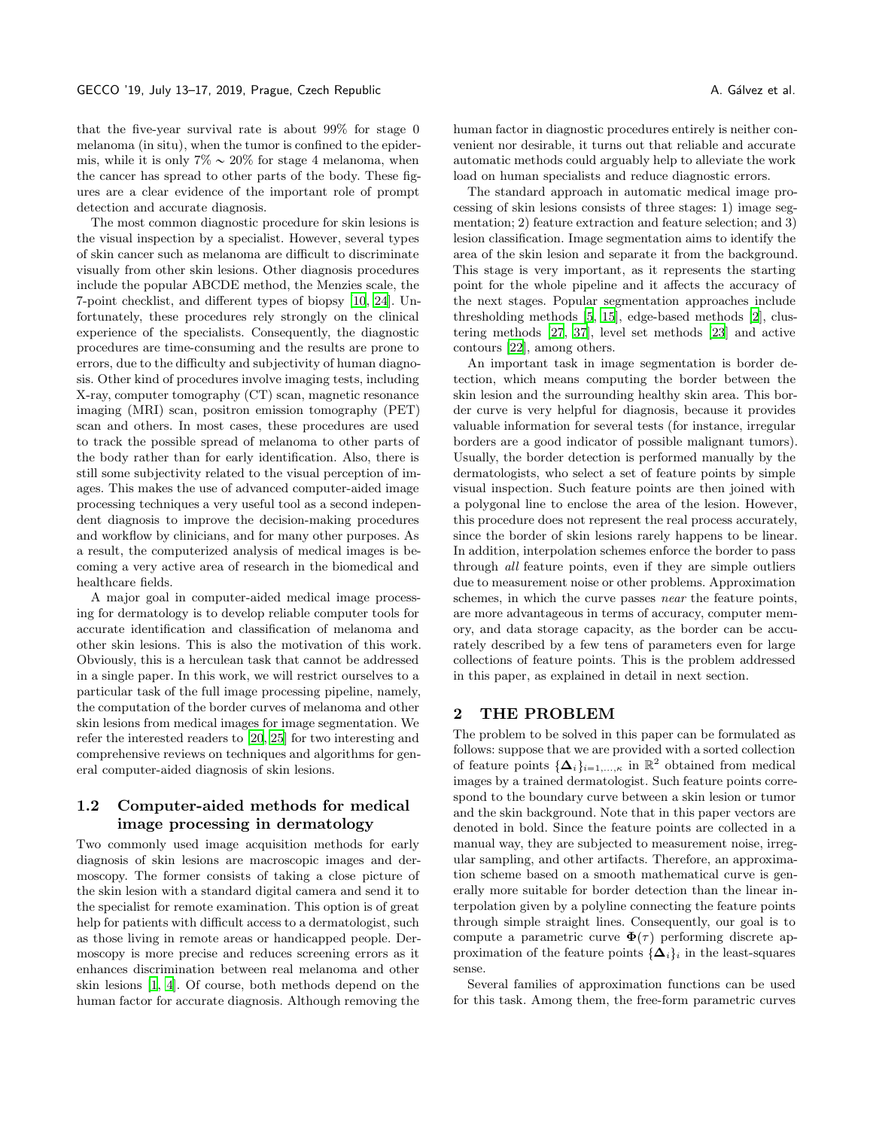that the five-year survival rate is about 99% for stage 0 melanoma (in situ), when the tumor is confined to the epidermis, while it is only  $7\% \sim 20\%$  for stage 4 melanoma, when the cancer has spread to other parts of the body. These figures are a clear evidence of the important role of prompt detection and accurate diagnosis.

The most common diagnostic procedure for skin lesions is the visual inspection by a specialist. However, several types of skin cancer such as melanoma are difficult to discriminate visually from other skin lesions. Other diagnosis procedures include the popular ABCDE method, the Menzies scale, the 7-point checklist, and different types of biopsy [\[10,](#page-7-1) [24](#page-7-2)]. Unfortunately, these procedures rely strongly on the clinical experience of the specialists. Consequently, the diagnostic procedures are time-consuming and the results are prone to errors, due to the difficulty and subjectivity of human diagnosis. Other kind of procedures involve imaging tests, including X-ray, computer tomography (CT) scan, magnetic resonance imaging (MRI) scan, positron emission tomography (PET) scan and others. In most cases, these procedures are used to track the possible spread of melanoma to other parts of the body rather than for early identification. Also, there is still some subjectivity related to the visual perception of images. This makes the use of advanced computer-aided image processing techniques a very useful tool as a second independent diagnosis to improve the decision-making procedures and workflow by clinicians, and for many other purposes. As a result, the computerized analysis of medical images is becoming a very active area of research in the biomedical and healthcare fields.

A major goal in computer-aided medical image processing for dermatology is to develop reliable computer tools for accurate identification and classification of melanoma and other skin lesions. This is also the motivation of this work. Obviously, this is a herculean task that cannot be addressed in a single paper. In this work, we will restrict ourselves to a particular task of the full image processing pipeline, namely, the computation of the border curves of melanoma and other skin lesions from medical images for image segmentation. We refer the interested readers to [\[20](#page-7-3), [25](#page-7-4)] for two interesting and comprehensive reviews on techniques and algorithms for general computer-aided diagnosis of skin lesions.

## 1.2 Computer-aided methods for medical image processing in dermatology

Two commonly used image acquisition methods for early diagnosis of skin lesions are macroscopic images and dermoscopy. The former consists of taking a close picture of the skin lesion with a standard digital camera and send it to the specialist for remote examination. This option is of great help for patients with difficult access to a dermatologist, such as those living in remote areas or handicapped people. Dermoscopy is more precise and reduces screening errors as it enhances discrimination between real melanoma and other skin lesions [\[1,](#page-7-5) [4](#page-7-6)]. Of course, both methods depend on the human factor for accurate diagnosis. Although removing the

human factor in diagnostic procedures entirely is neither convenient nor desirable, it turns out that reliable and accurate automatic methods could arguably help to alleviate the work load on human specialists and reduce diagnostic errors.

The standard approach in automatic medical image processing of skin lesions consists of three stages: 1) image segmentation; 2) feature extraction and feature selection; and 3) lesion classification. Image segmentation aims to identify the area of the skin lesion and separate it from the background. This stage is very important, as it represents the starting point for the whole pipeline and it affects the accuracy of the next stages. Popular segmentation approaches include thresholding methods [\[5](#page-7-7), [15\]](#page-7-8), edge-based methods [\[2](#page-7-9)], clustering methods [\[27,](#page-7-10) [37\]](#page-7-11), level set methods [\[23\]](#page-7-12) and active contours [\[22\]](#page-7-13), among others.

An important task in image segmentation is border detection, which means computing the border between the skin lesion and the surrounding healthy skin area. This border curve is very helpful for diagnosis, because it provides valuable information for several tests (for instance, irregular borders are a good indicator of possible malignant tumors). Usually, the border detection is performed manually by the dermatologists, who select a set of feature points by simple visual inspection. Such feature points are then joined with a polygonal line to enclose the area of the lesion. However, this procedure does not represent the real process accurately, since the border of skin lesions rarely happens to be linear. In addition, interpolation schemes enforce the border to pass through all feature points, even if they are simple outliers due to measurement noise or other problems. Approximation schemes, in which the curve passes near the feature points, are more advantageous in terms of accuracy, computer memory, and data storage capacity, as the border can be accurately described by a few tens of parameters even for large collections of feature points. This is the problem addressed in this paper, as explained in detail in next section.

## <span id="page-1-0"></span>2 THE PROBLEM

The problem to be solved in this paper can be formulated as follows: suppose that we are provided with a sorted collection of feature points  $\{\Delta_i\}_{i=1,\dots,\kappa}$  in  $\mathbb{R}^2$  obtained from medical images by a trained dermatologist. Such feature points correspond to the boundary curve between a skin lesion or tumor and the skin background. Note that in this paper vectors are denoted in bold. Since the feature points are collected in a manual way, they are subjected to measurement noise, irregular sampling, and other artifacts. Therefore, an approximation scheme based on a smooth mathematical curve is generally more suitable for border detection than the linear interpolation given by a polyline connecting the feature points through simple straight lines. Consequently, our goal is to compute a parametric curve  $\mathbf{\Phi}(\tau)$  performing discrete approximation of the feature points  $\{\Delta_i\}_i$  in the least-squares sense.

Several families of approximation functions can be used for this task. Among them, the free-form parametric curves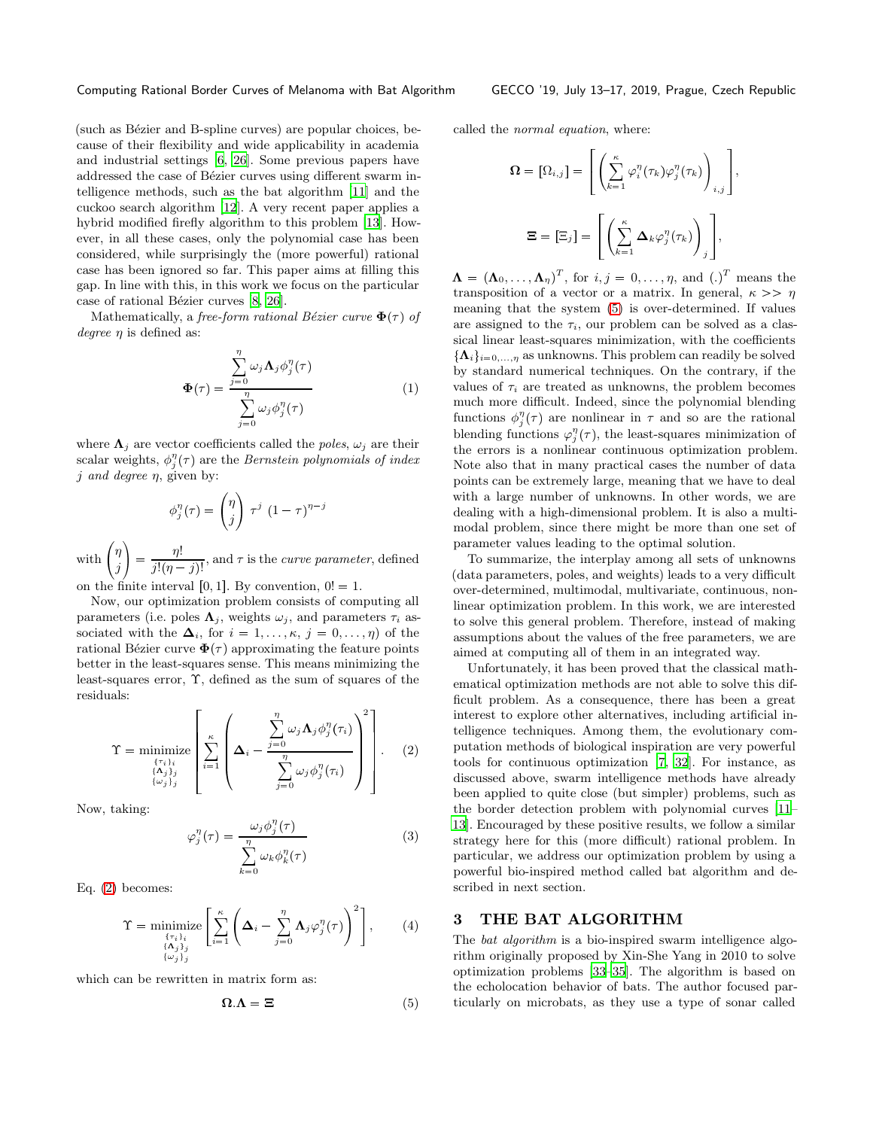Computing Rational Border Curves of Melanoma with Bat Algorithm GECCO '19, July 13–17, 2019, Prague, Czech Republic

(such as Bézier and B-spline curves) are popular choices, because of their flexibility and wide applicability in academia and industrial settings [\[6](#page-7-14), [26](#page-7-15)]. Some previous papers have addressed the case of Bézier curves using different swarm intelligence methods, such as the bat algorithm [\[11](#page-7-16)] and the cuckoo search algorithm [\[12](#page-7-17)]. A very recent paper applies a hybrid modified firefly algorithm to this problem [\[13](#page-7-18)]. However, in all these cases, only the polynomial case has been considered, while surprisingly the (more powerful) rational case has been ignored so far. This paper aims at filling this gap. In line with this, in this work we focus on the particular case of rational Bézier curves [\[8](#page-7-19), [26](#page-7-15)].

Mathematically, a free-form rational Bézier curve  $\mathbf{\Phi}(\tau)$  of degree  $\eta$  is defined as:

$$
\Phi(\tau) = \frac{\sum_{j=0}^{n} \omega_j \Lambda_j \phi_j^{\eta}(\tau)}{\sum_{j=0}^{n} \omega_j \phi_j^{\eta}(\tau)}
$$
(1)

where  $\Lambda_i$  are vector coefficients called the poles,  $\omega_i$  are their scalar weights,  $\phi_j^{\eta}(\tau)$  are the *Bernstein polynomials of index* j and degree  $\eta$ , given by:

$$
\phi_j^{\eta}(\tau) = \begin{pmatrix} \eta \\ j \end{pmatrix} \tau^j (1 - \tau)^{\eta - j}
$$

with  $\int$ j  $=\frac{\eta!}{\eta!}$  $\frac{\partial}{\partial j!(\eta-j)!}$ , and  $\tau$  is the *curve parameter*, defined on the finite interval  $[0, 1]$ . By convention,  $0! = 1$ .

Now, our optimization problem consists of computing all parameters (i.e. poles  $\Lambda_i$ , weights  $\omega_i$ , and parameters  $\tau_i$  associated with the  $\Delta_i$ , for  $i = 1, \ldots, \kappa, j = 0, \ldots, \eta$  of the rational Bézier curve  $\mathbf{\Phi}(\tau)$  approximating the feature points better in the least-squares sense. This means minimizing the least-squares error, Υ, defined as the sum of squares of the residuals:

<span id="page-2-0"></span>
$$
\Upsilon = \underset{\substack{\{\tau_i\}_{i,j} \\ {\{\Lambda_j\}_j \\ \{\omega_j\}_j\}}}{{\min_{\{\omega_j\}_j}}}\left[\sum_{i=1}^{\kappa}\left(\Delta_i - \frac{\sum_{j=0}^{\eta}\omega_j\Lambda_j\phi_j^{\eta}(\tau_i)}{\sum_{j=0}^{\eta}\omega_j\phi_j^{\eta}(\tau_i)}\right)^2\right].
$$
 (2)

Now, taking:

<span id="page-2-2"></span>
$$
\varphi_j^{\eta}(\tau) = \frac{\omega_j \phi_j^{\eta}(\tau)}{\sum_{k=0}^n \omega_k \phi_k^{\eta}(\tau)}
$$
(3)

Eq. [\(2\)](#page-2-0) becomes:

<span id="page-2-3"></span>
$$
\Upsilon = \underset{\substack{\{\tau_i\}_i\\{\{\Lambda_j\}_j\}}{\text{minimize}}}{\min_{\{\Lambda_j\}_j}} \left[ \sum_{i=1}^{\kappa} \left( \Delta_i - \sum_{j=0}^{\eta} \Lambda_j \varphi_j^{\eta}(\tau) \right)^2 \right],\tag{4}
$$

which can be rewritten in matrix form as:

<span id="page-2-1"></span>
$$
\Omega.\Lambda = \Xi \tag{5}
$$

called the normal equation, where:

$$
\Omega = [\Omega_{i,j}] = \left[ \left( \sum_{k=1}^{\kappa} \varphi_i^{\eta}(\tau_k) \varphi_j^{\eta}(\tau_k) \right)_{i,j} \right],
$$

$$
\Xi = [\Xi_j] = \left[ \left( \sum_{k=1}^{\kappa} \Delta_k \varphi_j^{\eta}(\tau_k) \right)_j \right],
$$

 $\Lambda = (\Lambda_0, \ldots, \Lambda_\eta)^T$ , for  $i, j = 0, \ldots, \eta$ , and  $(.)^T$  means the transposition of a vector or a matrix. In general,  $\kappa \gg \eta$ meaning that the system [\(5\)](#page-2-1) is over-determined. If values are assigned to the  $\tau_i$ , our problem can be solved as a classical linear least-squares minimization, with the coefficients  $\{\boldsymbol{\Lambda}_i\}_{i=0,\ldots,n}$  as unknowns. This problem can readily be solved by standard numerical techniques. On the contrary, if the values of  $\tau_i$  are treated as unknowns, the problem becomes much more difficult. Indeed, since the polynomial blending functions  $\phi_j^{\eta}(\tau)$  are nonlinear in  $\tau$  and so are the rational blending functions  $\varphi_j^{\eta}(\tau)$ , the least-squares minimization of the errors is a nonlinear continuous optimization problem. Note also that in many practical cases the number of data points can be extremely large, meaning that we have to deal with a large number of unknowns. In other words, we are dealing with a high-dimensional problem. It is also a multimodal problem, since there might be more than one set of parameter values leading to the optimal solution.

To summarize, the interplay among all sets of unknowns (data parameters, poles, and weights) leads to a very difficult over-determined, multimodal, multivariate, continuous, nonlinear optimization problem. In this work, we are interested to solve this general problem. Therefore, instead of making assumptions about the values of the free parameters, we are aimed at computing all of them in an integrated way.

Unfortunately, it has been proved that the classical mathematical optimization methods are not able to solve this difficult problem. As a consequence, there has been a great interest to explore other alternatives, including artificial intelligence techniques. Among them, the evolutionary computation methods of biological inspiration are very powerful tools for continuous optimization [\[7,](#page-7-20) [32\]](#page-7-21). For instance, as discussed above, swarm intelligence methods have already been applied to quite close (but simpler) problems, such as the border detection problem with polynomial curves [\[11–](#page-7-16) [13\]](#page-7-18). Encouraged by these positive results, we follow a similar strategy here for this (more difficult) rational problem. In particular, we address our optimization problem by using a powerful bio-inspired method called bat algorithm and described in next section.

#### 3 THE BAT ALGORITHM

The *bat algorithm* is a bio-inspired swarm intelligence algorithm originally proposed by Xin-She Yang in 2010 to solve optimization problems [\[33](#page-7-22)[–35\]](#page-7-23). The algorithm is based on the echolocation behavior of bats. The author focused particularly on microbats, as they use a type of sonar called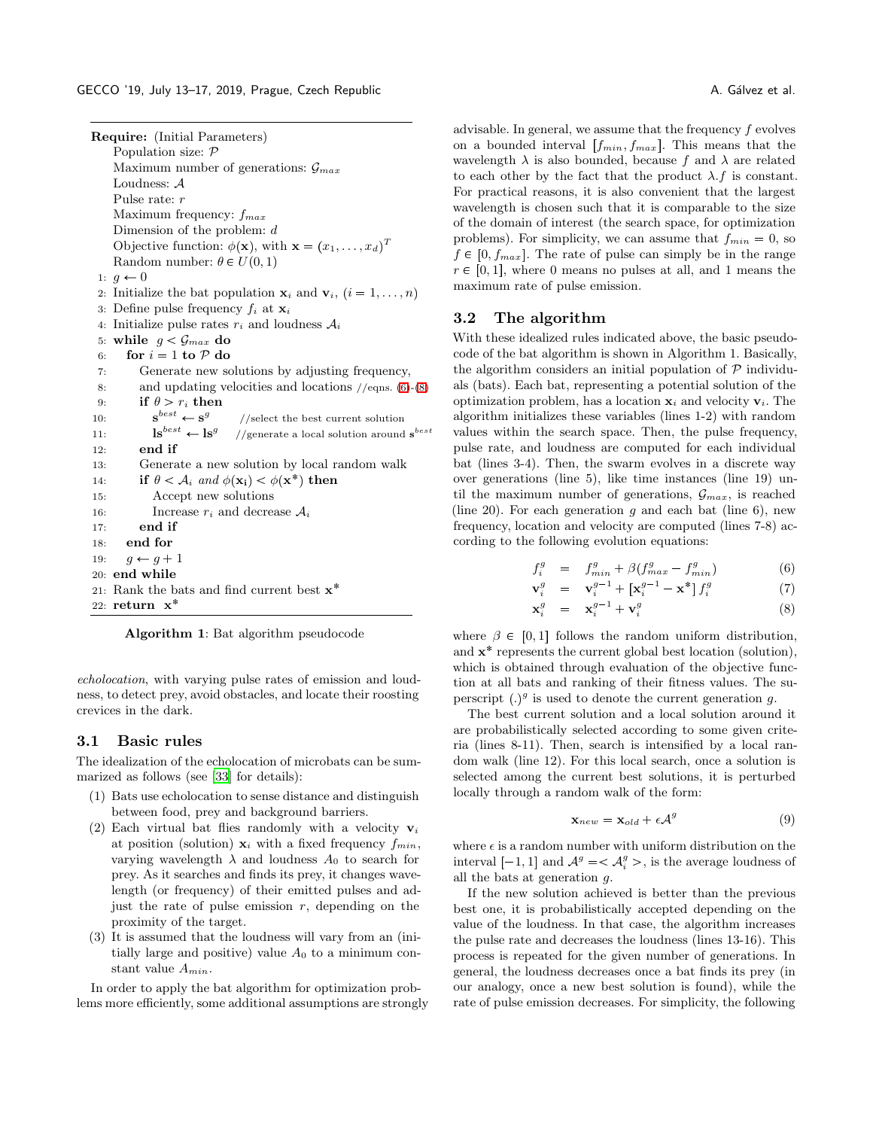Require: (Initial Parameters) Population size: P Maximum number of generations:  $\mathcal{G}_{max}$ Loudness: A Pulse rate: r Maximum frequency:  $f_{max}$ Dimension of the problem: d Objective function:  $\phi(\mathbf{x})$ , with  $\mathbf{x} = (x_1, \dots, x_d)^T$ Random number:  $\theta \in U(0, 1)$ 1:  $q \leftarrow 0$ 2: Initialize the bat population  $\mathbf{x}_i$  and  $\mathbf{v}_i$ ,  $(i = 1, \ldots, n)$ 3: Define pulse frequency  $f_i$  at  $\mathbf{x}_i$ 4: Initialize pulse rates  $r_i$  and loudness  $A_i$ 5: while  $g < \mathcal{G}_{max}$  do 6: for  $i = 1$  to  $P$  do 7: Generate new solutions by adjusting frequency, 8: and updating velocities and locations //eqns. [\(6\)](#page-3-0)-[\(8\)](#page-3-0) 9: if  $\theta > r_i$  then  $10:$  $e^{best} \leftarrow s^g$ //select the best current solution 11:  $\mathbf{ls}^{best} \leftarrow \mathbf{ls}^g$ //generate a local solution around  $\mathbf{s}^{best}$ 12: end if 13: Generate a new solution by local random walk 14: if  $\theta < A_i$  and  $\phi(\mathbf{x_i}) < \phi(\mathbf{x^*})$  then 15: Accept new solutions 16: Increase  $r_i$  and decrease  $A_i$ 17: end if 18: end for 19:  $g \leftarrow g + 1$ 20: end while 21: Rank the bats and find current best  $x^*$ 22: return x

Algorithm 1: Bat algorithm pseudocode

echolocation, with varying pulse rates of emission and loudness, to detect prey, avoid obstacles, and locate their roosting crevices in the dark.

#### 3.1 Basic rules

The idealization of the echolocation of microbats can be summarized as follows (see [\[33](#page-7-22)] for details):

- (1) Bats use echolocation to sense distance and distinguish between food, prey and background barriers.
- (2) Each virtual bat flies randomly with a velocity  $v_i$ at position (solution)  $x_i$  with a fixed frequency  $f_{min}$ , varying wavelength  $\lambda$  and loudness  $A_0$  to search for prey. As it searches and finds its prey, it changes wavelength (or frequency) of their emitted pulses and adjust the rate of pulse emission  $r$ , depending on the proximity of the target.
- (3) It is assumed that the loudness will vary from an (initially large and positive) value  $A_0$  to a minimum constant value  $A_{min}$ .

In order to apply the bat algorithm for optimization problems more efficiently, some additional assumptions are strongly

advisable. In general, we assume that the frequency f evolves on a bounded interval  $|f_{min}, f_{max}|$ . This means that the wavelength  $\lambda$  is also bounded, because f and  $\lambda$  are related to each other by the fact that the product  $\lambda$ . f is constant. For practical reasons, it is also convenient that the largest wavelength is chosen such that it is comparable to the size of the domain of interest (the search space, for optimization problems). For simplicity, we can assume that  $f_{min} = 0$ , so  $f \in [0, f_{max}]$ . The rate of pulse can simply be in the range  $r \in [0, 1]$ , where 0 means no pulses at all, and 1 means the maximum rate of pulse emission.

#### 3.2 The algorithm

With these idealized rules indicated above, the basic pseudocode of the bat algorithm is shown in Algorithm 1. Basically, the algorithm considers an initial population of  $P$  individuals (bats). Each bat, representing a potential solution of the optimization problem, has a location  $x_i$  and velocity  $v_i$ . The algorithm initializes these variables (lines 1-2) with random values within the search space. Then, the pulse frequency, pulse rate, and loudness are computed for each individual bat (lines 3-4). Then, the swarm evolves in a discrete way over generations (line 5), like time instances (line 19) until the maximum number of generations,  $\mathcal{G}_{max}$ , is reached (line 20). For each generation  $g$  and each bat (line 6), new frequency, location and velocity are computed (lines 7-8) according to the following evolution equations:

<span id="page-3-0"></span>
$$
f_i^g = f_{min}^g + \beta(f_{max}^g - f_{min}^g) \tag{6}
$$

$$
\mathbf{v}_i^g = \mathbf{v}_i^{g-1} + \left[ \mathbf{x}_i^{g-1} - \mathbf{x}^* \right] f_i^g \tag{7}
$$

$$
\mathbf{x}_i^g = \mathbf{x}_i^{g-1} + \mathbf{v}_i^g \tag{8}
$$

where  $\beta \in [0, 1]$  follows the random uniform distribution, and  $\mathbf{x}^*$  represents the current global best location (solution), which is obtained through evaluation of the objective function at all bats and ranking of their fitness values. The superscript  $(.)^g$  is used to denote the current generation g.

The best current solution and a local solution around it are probabilistically selected according to some given criteria (lines 8-11). Then, search is intensified by a local random walk (line 12). For this local search, once a solution is selected among the current best solutions, it is perturbed locally through a random walk of the form:

$$
\mathbf{x}_{new} = \mathbf{x}_{old} + \epsilon \mathcal{A}^g \tag{9}
$$

where  $\epsilon$  is a random number with uniform distribution on the interval  $[-1, 1]$  and  $\mathcal{A}^g = \langle \mathcal{A}^g_i \rangle$ , is the average loudness of all the bats at generation g.

If the new solution achieved is better than the previous best one, it is probabilistically accepted depending on the value of the loudness. In that case, the algorithm increases the pulse rate and decreases the loudness (lines 13-16). This process is repeated for the given number of generations. In general, the loudness decreases once a bat finds its prey (in our analogy, once a new best solution is found), while the rate of pulse emission decreases. For simplicity, the following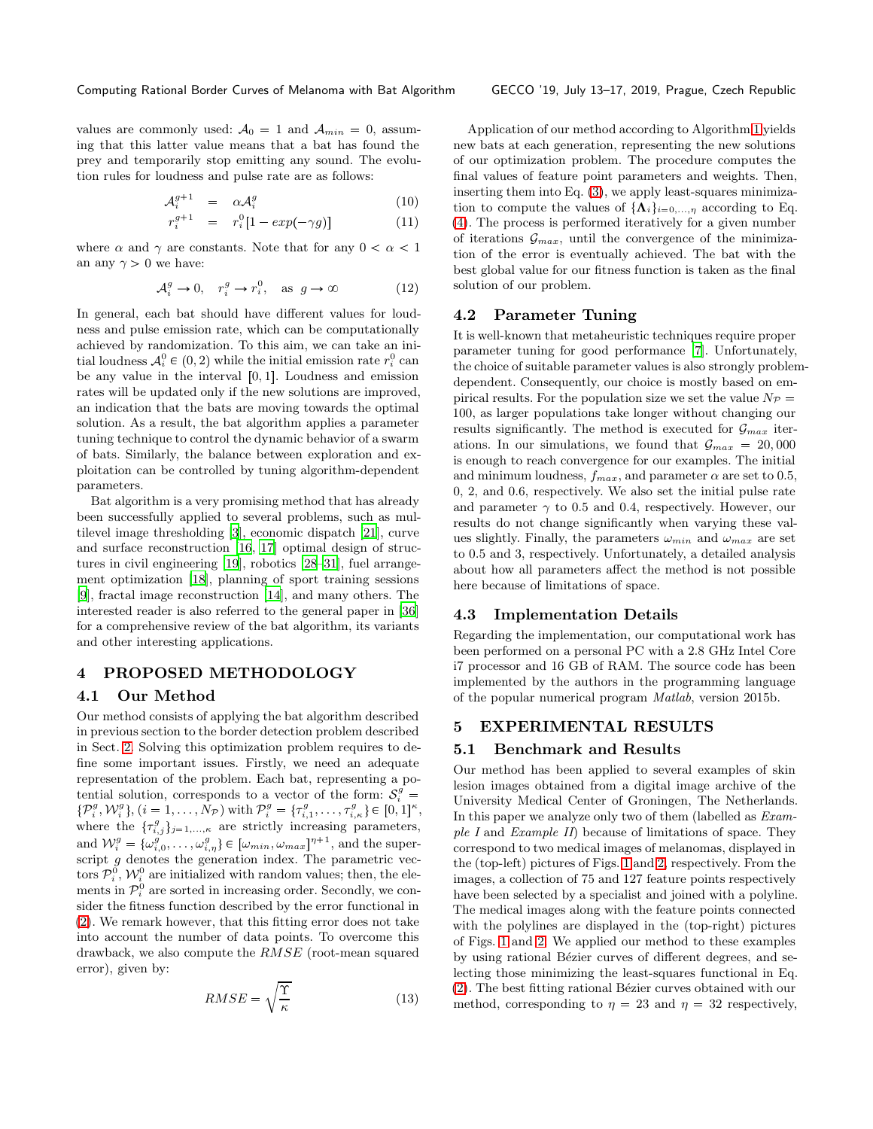$$
\mathcal{A}_i^{g+1} = \alpha \mathcal{A}_i^g \tag{10}
$$

$$
r_i^{g+1} = r_i^0 [1 - exp(-\gamma g)] \tag{11}
$$

where  $\alpha$  and  $\gamma$  are constants. Note that for any  $0 < \alpha < 1$ an any  $\gamma > 0$  we have:

$$
\mathcal{A}_i^g \to 0, \quad r_i^g \to r_i^0, \quad \text{as } g \to \infty \tag{12}
$$

In general, each bat should have different values for loudness and pulse emission rate, which can be computationally achieved by randomization. To this aim, we can take an initial loudness  $\mathcal{A}_i^0 \in (0, 2)$  while the initial emission rate  $r_i^0$  can be any value in the interval  $[0, 1]$ . Loudness and emission rates will be updated only if the new solutions are improved, an indication that the bats are moving towards the optimal solution. As a result, the bat algorithm applies a parameter tuning technique to control the dynamic behavior of a swarm of bats. Similarly, the balance between exploration and exploitation can be controlled by tuning algorithm-dependent parameters.

Bat algorithm is a very promising method that has already been successfully applied to several problems, such as multilevel image thresholding [\[3\]](#page-7-24), economic dispatch [\[21](#page-7-25)], curve and surface reconstruction [\[16,](#page-7-26) [17](#page-7-27)] optimal design of structures in civil engineering [\[19\]](#page-7-28), robotics [\[28](#page-7-29)[–31](#page-7-30)], fuel arrangement optimization [\[18](#page-7-31)], planning of sport training sessions [\[9\]](#page-7-32), fractal image reconstruction [\[14\]](#page-7-33), and many others. The interested reader is also referred to the general paper in [\[36](#page-7-34)] for a comprehensive review of the bat algorithm, its variants and other interesting applications.

## 4 PROPOSED METHODOLOGY

## 4.1 Our Method

Our method consists of applying the bat algorithm described in previous section to the border detection problem described in Sect. [2.](#page-1-0) Solving this optimization problem requires to define some important issues. Firstly, we need an adequate representation of the problem. Each bat, representing a potential solution, corresponds to a vector of the form:  $S_i^g$  $\{\mathcal{P}_i^g, \mathcal{W}_i^g\}, (i = 1, \dots, N_{\mathcal{P}})$  with  $\mathcal{P}_i^g = \{\tau_{i,1}^g, \dots, \tau_{i,\kappa}^g\} \in [0,1]^{\kappa}$ , where the  $\{\tau_{i,j}^g\}_{j=1,\ldots,\kappa}$  are strictly increasing parameters, and  $\mathcal{W}_{i}^{g} = \{\omega_{i,0}^{g}, \ldots, \omega_{i,\eta}^{g}\} \in [\omega_{min}, \omega_{max}]^{\eta+1}$ , and the superscript  $g$  denotes the generation index. The parametric vectors  $\mathcal{P}_i^0$ ,  $\mathcal{W}_i^0$  are initialized with random values; then, the elements in  $\mathcal{P}_i^0$  are sorted in increasing order. Secondly, we consider the fitness function described by the error functional in [\(2\)](#page-2-0). We remark however, that this fitting error does not take into account the number of data points. To overcome this drawback, we also compute the RMSE (root-mean squared error), given by:

$$
RMSE = \sqrt{\frac{\Upsilon}{\kappa}}\tag{13}
$$

Application of our method according to Algorithm [1](#page-6-0) yields new bats at each generation, representing the new solutions of our optimization problem. The procedure computes the final values of feature point parameters and weights. Then, inserting them into Eq. [\(3\)](#page-2-2), we apply least-squares minimization to compute the values of  $\{\mathbf\Lambda_i\}_{i=0,\ldots,\eta}$  according to Eq. [\(4\)](#page-2-3). The process is performed iteratively for a given number of iterations  $\mathcal{G}_{max}$ , until the convergence of the minimization of the error is eventually achieved. The bat with the best global value for our fitness function is taken as the final solution of our problem.

#### 4.2 Parameter Tuning

It is well-known that metaheuristic techniques require proper parameter tuning for good performance [\[7\]](#page-7-20). Unfortunately, the choice of suitable parameter values is also strongly problemdependent. Consequently, our choice is mostly based on empirical results. For the population size we set the value  $N_{\mathcal{P}} =$ 100, as larger populations take longer without changing our results significantly. The method is executed for  $\mathcal{G}_{max}$  iterations. In our simulations, we found that  $\mathcal{G}_{max} = 20,000$ is enough to reach convergence for our examples. The initial and minimum loudness,  $f_{max}$ , and parameter  $\alpha$  are set to 0.5, 0, 2, and 0.6, respectively. We also set the initial pulse rate and parameter  $\gamma$  to 0.5 and 0.4, respectively. However, our results do not change significantly when varying these values slightly. Finally, the parameters  $\omega_{min}$  and  $\omega_{max}$  are set to 0.5 and 3, respectively. Unfortunately, a detailed analysis about how all parameters affect the method is not possible here because of limitations of space.

#### 4.3 Implementation Details

Regarding the implementation, our computational work has been performed on a personal PC with a 2.8 GHz Intel Core i7 processor and 16 GB of RAM. The source code has been implemented by the authors in the programming language of the popular numerical program Matlab, version 2015b.

## 5 EXPERIMENTAL RESULTS

#### 5.1 Benchmark and Results

Our method has been applied to several examples of skin lesion images obtained from a digital image archive of the University Medical Center of Groningen, The Netherlands. In this paper we analyze only two of them (labelled as  $Exam$ ple I and Example II) because of limitations of space. They correspond to two medical images of melanomas, displayed in the (top-left) pictures of Figs. [1](#page-5-0) and [2,](#page-6-1) respectively. From the images, a collection of 75 and 127 feature points respectively have been selected by a specialist and joined with a polyline. The medical images along with the feature points connected with the polylines are displayed in the (top-right) pictures of Figs. [1](#page-5-0) and [2.](#page-6-1) We applied our method to these examples by using rational Bézier curves of different degrees, and selecting those minimizing the least-squares functional in Eq.  $(2)$ . The best fitting rational Bézier curves obtained with our method, corresponding to  $\eta = 23$  and  $\eta = 32$  respectively,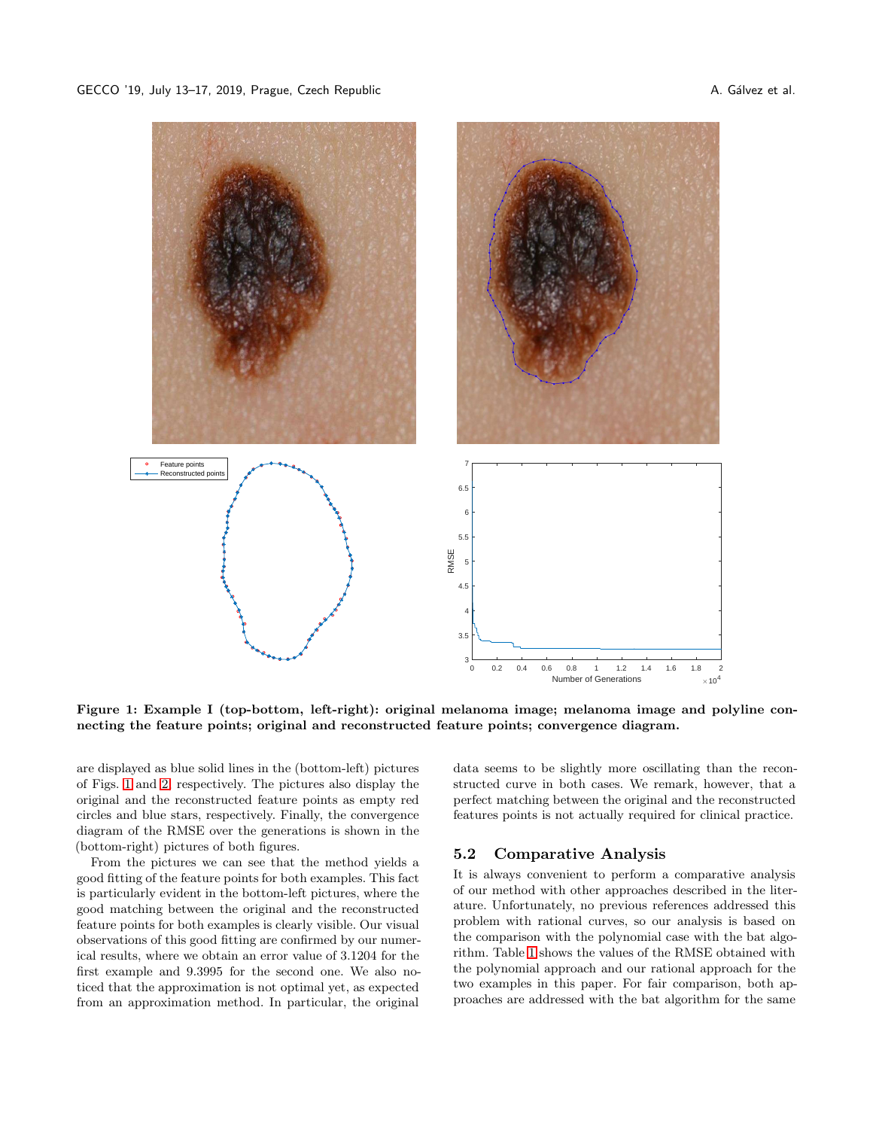<span id="page-5-0"></span>

Figure 1: Example I (top-bottom, left-right): original melanoma image; melanoma image and polyline connecting the feature points; original and reconstructed feature points; convergence diagram.

are displayed as blue solid lines in the (bottom-left) pictures of Figs. [1](#page-5-0) and [2,](#page-6-1) respectively. The pictures also display the original and the reconstructed feature points as empty red circles and blue stars, respectively. Finally, the convergence diagram of the RMSE over the generations is shown in the (bottom-right) pictures of both figures.

From the pictures we can see that the method yields a good fitting of the feature points for both examples. This fact is particularly evident in the bottom-left pictures, where the good matching between the original and the reconstructed feature points for both examples is clearly visible. Our visual observations of this good fitting are confirmed by our numerical results, where we obtain an error value of 3.1204 for the first example and 9.3995 for the second one. We also noticed that the approximation is not optimal yet, as expected from an approximation method. In particular, the original

data seems to be slightly more oscillating than the reconstructed curve in both cases. We remark, however, that a perfect matching between the original and the reconstructed features points is not actually required for clinical practice.

## 5.2 Comparative Analysis

It is always convenient to perform a comparative analysis of our method with other approaches described in the literature. Unfortunately, no previous references addressed this problem with rational curves, so our analysis is based on the comparison with the polynomial case with the bat algorithm. Table [1](#page-6-0) shows the values of the RMSE obtained with the polynomial approach and our rational approach for the two examples in this paper. For fair comparison, both approaches are addressed with the bat algorithm for the same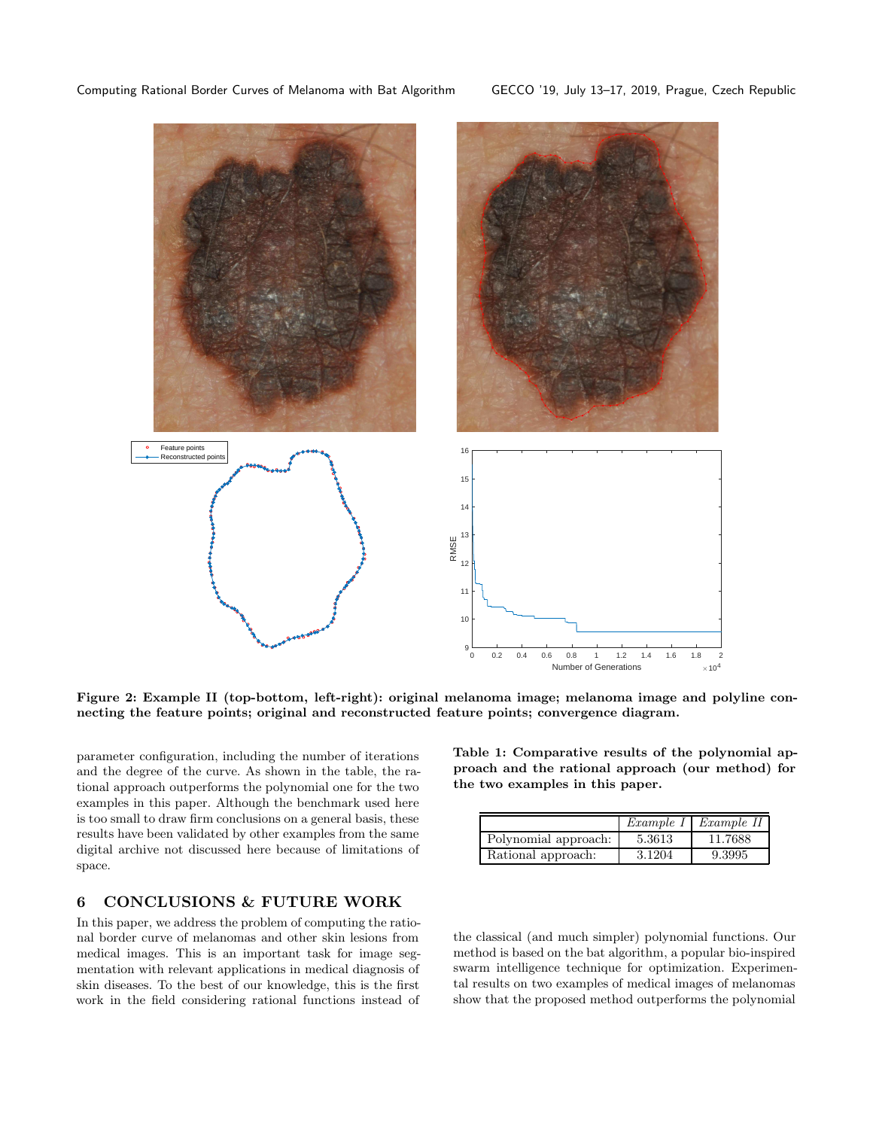<span id="page-6-1"></span>Computing Rational Border Curves of Melanoma with Bat Algorithm GECCO '19, July 13–17, 2019, Prague, Czech Republic



Figure 2: Example II (top-bottom, left-right): original melanoma image; melanoma image and polyline connecting the feature points; original and reconstructed feature points; convergence diagram.

parameter configuration, including the number of iterations and the degree of the curve. As shown in the table, the rational approach outperforms the polynomial one for the two examples in this paper. Although the benchmark used here is too small to draw firm conclusions on a general basis, these results have been validated by other examples from the same digital archive not discussed here because of limitations of space.

# 6 CONCLUSIONS & FUTURE WORK

In this paper, we address the problem of computing the rational border curve of melanomas and other skin lesions from medical images. This is an important task for image segmentation with relevant applications in medical diagnosis of skin diseases. To the best of our knowledge, this is the first work in the field considering rational functions instead of

<span id="page-6-0"></span>Table 1: Comparative results of the polynomial approach and the rational approach (our method) for the two examples in this paper.

|                      | Example I | Example II |
|----------------------|-----------|------------|
| Polynomial approach: | 5.3613    | 11.7688    |
| Rational approach:   | 3.1204    | 9.3995     |

the classical (and much simpler) polynomial functions. Our method is based on the bat algorithm, a popular bio-inspired swarm intelligence technique for optimization. Experimental results on two examples of medical images of melanomas show that the proposed method outperforms the polynomial